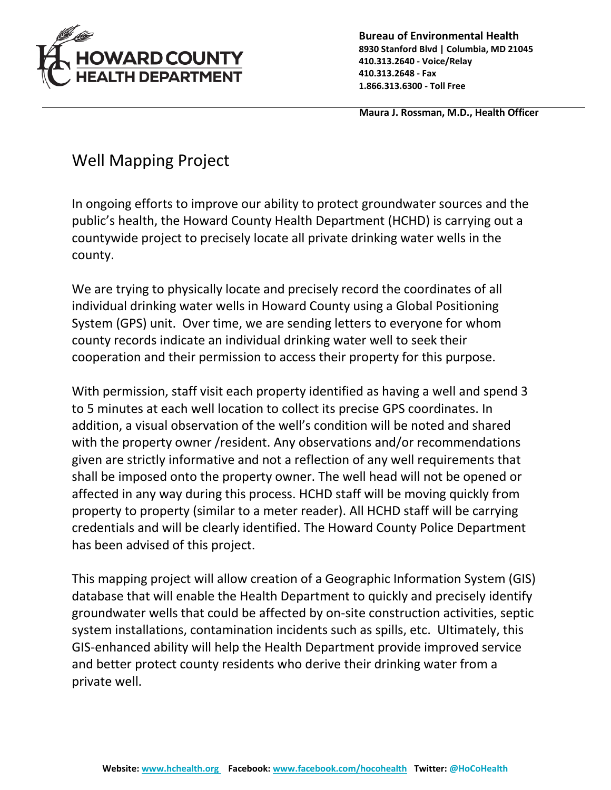

**Bureau of Environmental Health 8930 Stanford Blvd | Columbia, MD 21045 410.313.2640 - Voice/Relay 410.313.2648 - Fax 1.866.313.6300 - Toll Free**

 **Maura J. Rossman, M.D., Health Officer**

## Well Mapping Project

In ongoing efforts to improve our ability to protect groundwater sources and the public's health, the Howard County Health Department (HCHD) is carrying out a countywide project to precisely locate all private drinking water wells in the county.

We are trying to physically locate and precisely record the coordinates of all individual drinking water wells in Howard County using a Global Positioning System (GPS) unit. Over time, we are sending letters to everyone for whom county records indicate an individual drinking water well to seek their cooperation and their permission to access their property for this purpose.

With permission, staff visit each property identified as having a well and spend 3 to 5 minutes at each well location to collect its precise GPS coordinates. In addition, a visual observation of the well's condition will be noted and shared with the property owner /resident. Any observations and/or recommendations given are strictly informative and not a reflection of any well requirements that shall be imposed onto the property owner. The well head will not be opened or affected in any way during this process. HCHD staff will be moving quickly from property to property (similar to a meter reader). All HCHD staff will be carrying credentials and will be clearly identified. The Howard County Police Department has been advised of this project.

This mapping project will allow creation of a Geographic Information System (GIS) database that will enable the Health Department to quickly and precisely identify groundwater wells that could be affected by on-site construction activities, septic system installations, contamination incidents such as spills, etc. Ultimately, this GIS-enhanced ability will help the Health Department provide improved service and better protect county residents who derive their drinking water from a private well.